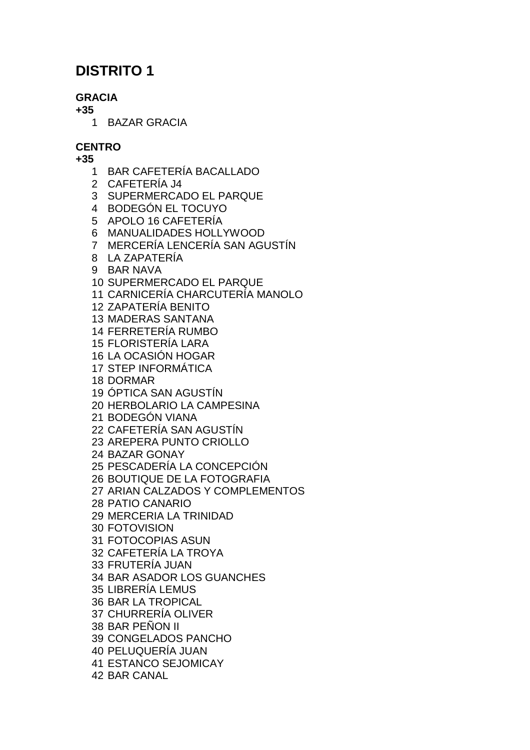# **DISTRITO 1**

## **GRACIA**

**+35**

BAZAR GRACIA

## **CENTRO**

- BAR CAFETERÍA BACALLADO
- CAFETERÍA J4
- SUPERMERCADO EL PARQUE
- BODEGÓN EL TOCUYO
- APOLO 16 CAFETERÍA
- MANUALIDADES HOLLYWOOD
- MERCERÍA LENCERÍA SAN AGUSTÍN
- LA ZAPATERÍA
- BAR NAVA
- SUPERMERCADO EL PARQUE
- CARNICERÍA CHARCUTERÍA MANOLO
- ZAPATERÍA BENITO
- MADERAS SANTANA
- FERRETERÍA RUMBO
- FLORISTERÍA LARA
- LA OCASIÓN HOGAR
- STEP INFORMÁTICA
- DORMAR
- ÓPTICA SAN AGUSTÍN
- HERBOLARIO LA CAMPESINA
- BODEGÓN VIANA
- CAFETERÍA SAN AGUSTÍN
- AREPERA PUNTO CRIOLLO
- BAZAR GONAY
- PESCADERÍA LA CONCEPCIÓN
- BOUTIQUE DE LA FOTOGRAFIA
- ARIAN CALZADOS Y COMPLEMENTOS
- PATIO CANARIO
- MERCERIA LA TRINIDAD
- FOTOVISION
- FOTOCOPIAS ASUN
- CAFETERÍA LA TROYA
- FRUTERÍA JUAN
- BAR ASADOR LOS GUANCHES
- LIBRERÍA LEMUS
- BAR LA TROPICAL
- CHURRERÍA OLIVER
- BAR PEÑON II
- CONGELADOS PANCHO
- PELUQUERÍA JUAN
- ESTANCO SEJOMICAY
- BAR CANAL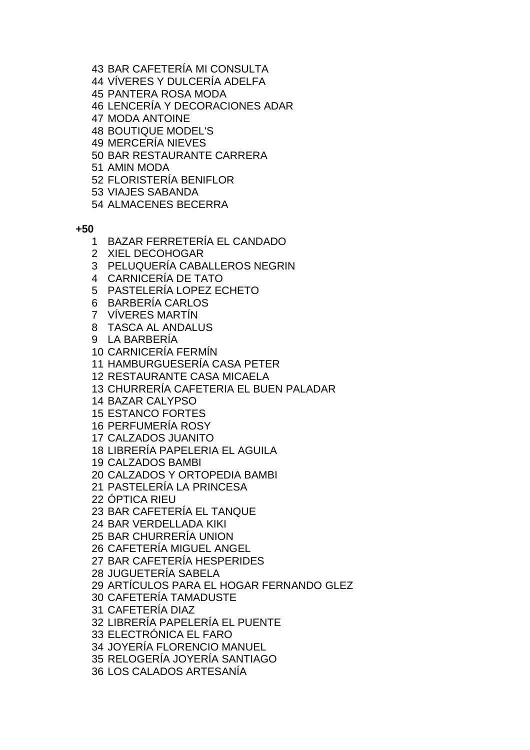- BAR CAFETERÍA MI CONSULTA
- VÍVERES Y DULCERÍA ADELFA
- PANTERA ROSA MODA
- LENCERÍA Y DECORACIONES ADAR
- MODA ANTOINE
- BOUTIQUE MODEL'S
- MERCERÍA NIEVES
- BAR RESTAURANTE CARRERA
- AMIN MODA
- FLORISTERÍA BENIFLOR
- VIAJES SABANDA
- ALMACENES BECERRA

- BAZAR FERRETERÍA EL CANDADO
- XIEL DECOHOGAR
- PELUQUERÍA CABALLEROS NEGRIN
- CARNICERÍA DE TATO
- PASTELERÍA LOPEZ ECHETO
- BARBERÍA CARLOS
- VÍVERES MARTÍN
- TASCA AL ANDALUS
- LA BARBERÍA
- CARNICERÍA FERMÍN
- HAMBURGUESERÍA CASA PETER
- RESTAURANTE CASA MICAELA
- CHURRERÍA CAFETERIA EL BUEN PALADAR
- BAZAR CALYPSO
- ESTANCO FORTES
- PERFUMERÍA ROSY
- CALZADOS JUANITO
- LIBRERÍA PAPELERIA EL AGUILA
- CALZADOS BAMBI
- CALZADOS Y ORTOPEDIA BAMBI
- PASTELERÍA LA PRINCESA
- ÓPTICA RIEU
- BAR CAFETERÍA EL TANQUE
- BAR VERDELLADA KIKI
- BAR CHURRERÍA UNION
- CAFETERÍA MIGUEL ANGEL
- BAR CAFETERÍA HESPERIDES
- JUGUETERÍA SABELA
- ARTÍCULOS PARA EL HOGAR FERNANDO GLEZ
- CAFETERÍA TAMADUSTE
- CAFETERÍA DIAZ
- LIBRERÍA PAPELERÍA EL PUENTE
- ELECTRÓNICA EL FARO
- JOYERÍA FLORENCIO MANUEL
- RELOGERÍA JOYERÍA SANTIAGO
- LOS CALADOS ARTESANÍA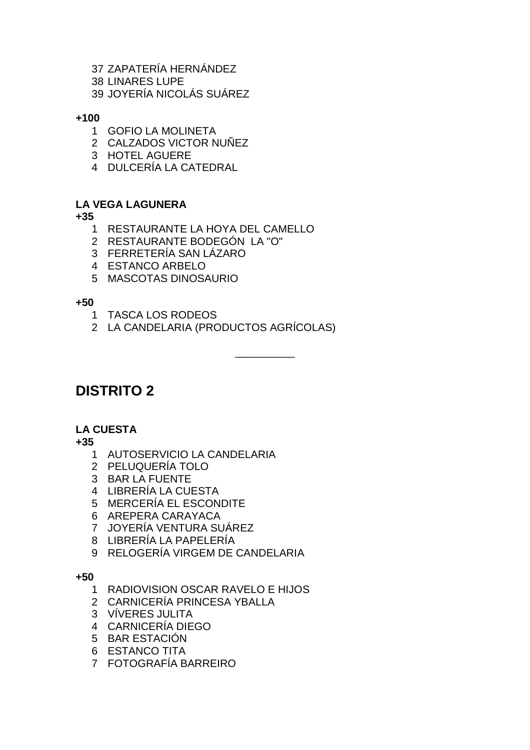- ZAPATERÍA HERNÁNDEZ
- LINARES LUPE
- JOYERÍA NICOLÁS SUÁREZ

**+100**

- GOFIO LA MOLINETA
- CALZADOS VICTOR NUÑEZ
- HOTEL AGUERE
- DULCERÍA LA CATEDRAL

## **LA VEGA LAGUNERA**

**+35**

- RESTAURANTE LA HOYA DEL CAMELLO
- RESTAURANTE BODEGÓN LA "O"
- FERRETERÍA SAN LÁZARO
- ESTANCO ARBELO
- MASCOTAS DINOSAURIO

**+50**

- TASCA LOS RODEOS
- LA CANDELARIA (PRODUCTOS AGRÍCOLAS)

\_\_\_\_\_\_\_\_\_\_

**DISTRITO 2**

## **LA CUESTA**

**+35**

- AUTOSERVICIO LA CANDELARIA
- PELUQUERÍA TOLO
- BAR LA FUENTE
- LIBRERÍA LA CUESTA
- MERCERÍA EL ESCONDITE
- AREPERA CARAYACA
- JOYERÍA VENTURA SUÁREZ
- LIBRERÍA LA PAPELERÍA
- RELOGERÍA VIRGEM DE CANDELARIA

- RADIOVISION OSCAR RAVELO E HIJOS
- CARNICERÍA PRINCESA YBALLA
- VÍVERES JULITA
- CARNICERÍA DIEGO
- BAR ESTACIÓN
- ESTANCO TITA
- FOTOGRAFÍA BARREIRO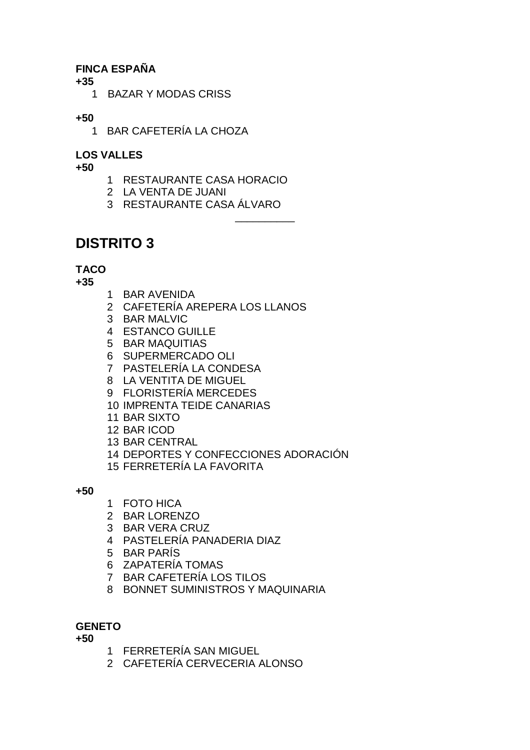## **FINCA ESPAÑA**

**+35**

BAZAR Y MODAS CRISS

## **+50**

BAR CAFETERÍA LA CHOZA

## **LOS VALLES**

**+50**

- RESTAURANTE CASA HORACIO
- LA VENTA DE JUANI
- RESTAURANTE CASA ÁLVARO

\_\_\_\_\_\_\_\_\_\_

# **DISTRITO 3**

## **TACO**

**+35**

- BAR AVENIDA
- CAFETERÍA AREPERA LOS LLANOS
- BAR MALVIC
- ESTANCO GUILLE
- BAR MAQUITIAS
- SUPERMERCADO OLI
- PASTELERÍA LA CONDESA
- LA VENTITA DE MIGUEL
- FLORISTERÍA MERCEDES
- IMPRENTA TEIDE CANARIAS
- BAR SIXTO
- BAR ICOD
- BAR CENTRAL
- DEPORTES Y CONFECCIONES ADORACIÓN
- FERRETERÍA LA FAVORITA

**+50**

- FOTO HICA
- BAR LORENZO
- BAR VERA CRUZ
- PASTELERÍA PANADERIA DIAZ
- BAR PARÍS
- ZAPATERÍA TOMAS
- BAR CAFETERÍA LOS TILOS
- BONNET SUMINISTROS Y MAQUINARIA

## **GENETO**

- FERRETERÍA SAN MIGUEL
- CAFETERÍA CERVECERIA ALONSO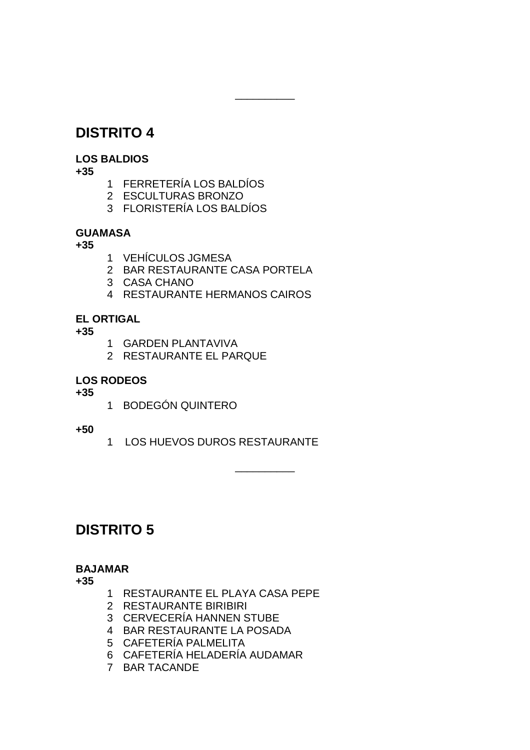## **DISTRITO 4**

## **LOS BALDIOS**

**+35**

- 1 FERRETERÍA LOS BALDÍOS
- 2 ESCULTURAS BRONZO
- 3 FLORISTERÍA LOS BALDÍOS

## **GUAMASA**

**+35**

- 1 VEHÍCULOS JGMESA
- 2 BAR RESTAURANTE CASA PORTELA

\_\_\_\_\_\_\_\_\_\_

- 3 CASA CHANO
- 4 RESTAURANTE HERMANOS CAIROS

## **EL ORTIGAL**

**+35**

- 1 GARDEN PLANTAVIVA
- 2 RESTAURANTE EL PARQUE

## **LOS RODEOS**

**+35**

1 BODEGÓN QUINTERO

## **+50**

1 LOS HUEVOS DUROS RESTAURANTE

\_\_\_\_\_\_\_\_\_\_

# **DISTRITO 5**

### **BAJAMAR**

- 1 RESTAURANTE EL PLAYA CASA PEPE
- 2 RESTAURANTE BIRIBIRI
- 3 CERVECERÍA HANNEN STUBE
- 4 BAR RESTAURANTE LA POSADA
- 5 CAFETERÍA PALMELITA
- 6 CAFETERÍA HELADERÍA AUDAMAR
- 7 BAR TACANDE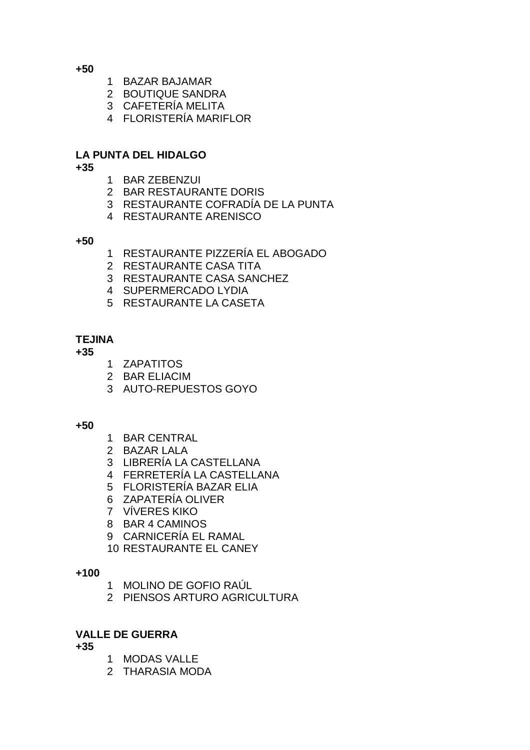**+50**

- BAZAR BAJAMAR
- BOUTIQUE SANDRA
- CAFETERÍA MELITA
- FLORISTERÍA MARIFLOR

### **LA PUNTA DEL HIDALGO**

**+35**

- BAR ZEBENZUI
- BAR RESTAURANTE DORIS
- RESTAURANTE COFRADÍA DE LA PUNTA
- RESTAURANTE ARENISCO

**+50**

- RESTAURANTE PIZZERÍA EL ABOGADO
- RESTAURANTE CASA TITA
- RESTAURANTE CASA SANCHEZ
- SUPERMERCADO LYDIA
- RESTAURANTE LA CASETA

### **TEJINA**

**+35**

- ZAPATITOS
- BAR ELIACIM
- AUTO-REPUESTOS GOYO

#### **+50**

- BAR CENTRAL
- BAZAR LALA
- LIBRERÍA LA CASTELLANA
- FERRETERÍA LA CASTELLANA
- FLORISTERÍA BAZAR ELIA
- ZAPATERÍA OLIVER
- VÍVERES KIKO
- BAR 4 CAMINOS
- CARNICERÍA EL RAMAL
- RESTAURANTE EL CANEY

#### **+100**

- MOLINO DE GOFIO RAÚL
- PIENSOS ARTURO AGRICULTURA

### **VALLE DE GUERRA**

- MODAS VALLE
- THARASIA MODA